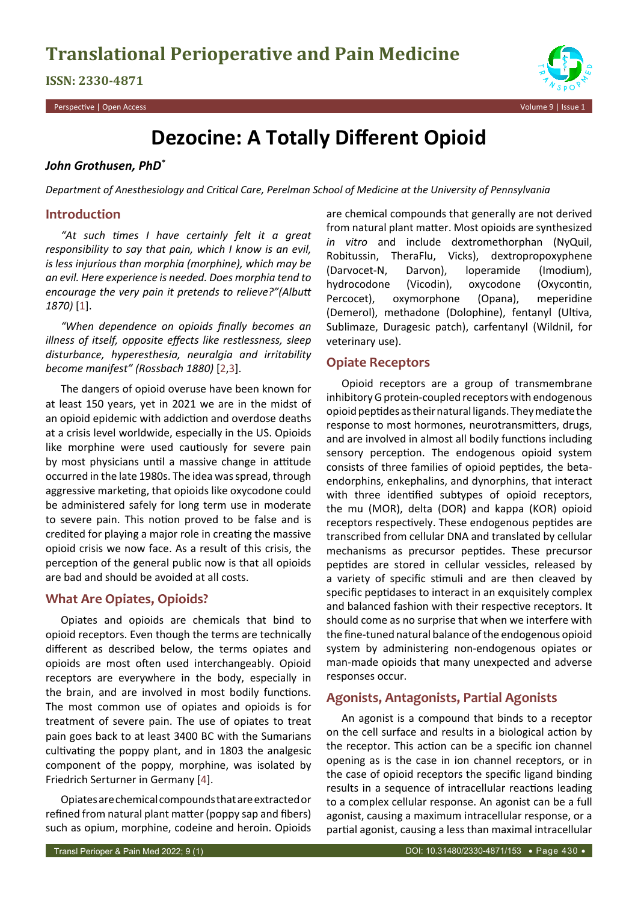# **ISSN: 2330-4871**

Perspective | Open Access Volume 9 | Issue 1



# **Dezocine: A Totally Different Opioid**

## *John Grothusen, PhD\**

*Department of Anesthesiology and Critical Care, Perelman School of Medicine at the University of Pennsylvania*

## **Introduction**

*"At such times I have certainly felt it a great responsibility to say that pain, which I know is an evil, is less injurious than morphia (morphine), which may be an evil. Here experience is needed. Does morphia tend to encourage the very pain it pretends to relieve?"(Albutt 1870)* [\[1](#page-2-0)].

*"When dependence on opioids finally becomes an illness of itself, opposite effects like restlessness, sleep disturbance, hyperesthesia, neuralgia and irritability become manifest" (Rossbach 1880)* [\[2,](#page-2-1)[3](#page-2-2)].

The dangers of opioid overuse have been known for at least 150 years, yet in 2021 we are in the midst of an opioid epidemic with addiction and overdose deaths at a crisis level worldwide, especially in the US. Opioids like morphine were used cautiously for severe pain by most physicians until a massive change in attitude occurred in the late 1980s. The idea was spread, through aggressive marketing, that opioids like oxycodone could be administered safely for long term use in moderate to severe pain. This notion proved to be false and is credited for playing a major role in creating the massive opioid crisis we now face. As a result of this crisis, the perception of the general public now is that all opioids are bad and should be avoided at all costs.

# **What Are Opiates, Opioids?**

Opiates and opioids are chemicals that bind to opioid receptors. Even though the terms are technically different as described below, the terms opiates and opioids are most often used interchangeably. Opioid receptors are everywhere in the body, especially in the brain, and are involved in most bodily functions. The most common use of opiates and opioids is for treatment of severe pain. The use of opiates to treat pain goes back to at least 3400 BC with the Sumarians cultivating the poppy plant, and in 1803 the analgesic component of the poppy, morphine, was isolated by Friedrich Serturner in Germany [\[4](#page-2-3)].

Opiates are chemical compounds that are extracted or refined from natural plant matter (poppy sap and fibers) such as opium, morphine, codeine and heroin. Opioids are chemical compounds that generally are not derived from natural plant matter. Most opioids are synthesized *in vitro* and include dextromethorphan (NyQuil, Robitussin, TheraFlu, Vicks), dextropropoxyphene (Darvocet-N, Darvon), loperamide (Imodium), hydrocodone (Vicodin), oxycodone (Oxycontin, Percocet), oxymorphone (Opana), meperidine (Demerol), methadone (Dolophine), fentanyl (Ultiva, Sublimaze, Duragesic patch), carfentanyl (Wildnil, for veterinary use).

# **Opiate Receptors**

Opioid receptors are a group of transmembrane inhibitory G protein-coupled receptors with endogenous opioid peptides as their natural ligands. They mediate the response to most hormones, neurotransmitters, drugs, and are involved in almost all bodily functions including sensory perception. The endogenous opioid system consists of three families of opioid peptides, the betaendorphins, enkephalins, and dynorphins, that interact with three identified subtypes of opioid receptors, the mu (MOR), delta (DOR) and kappa (KOR) opioid receptors respectively. These endogenous peptides are transcribed from cellular DNA and translated by cellular mechanisms as precursor peptides. These precursor peptides are stored in cellular vessicles, released by a variety of specific stimuli and are then cleaved by specific peptidases to interact in an exquisitely complex and balanced fashion with their respective receptors. It should come as no surprise that when we interfere with the fine-tuned natural balance of the endogenous opioid system by administering non-endogenous opiates or man-made opioids that many unexpected and adverse responses occur.

# **Agonists, Antagonists, Partial Agonists**

An agonist is a compound that binds to a receptor on the cell surface and results in a biological action by the receptor. This action can be a specific ion channel opening as is the case in ion channel receptors, or in the case of opioid receptors the specific ligand binding results in a sequence of intracellular reactions leading to a complex cellular response. An agonist can be a full agonist, causing a maximum intracellular response, or a partial agonist, causing a less than maximal intracellular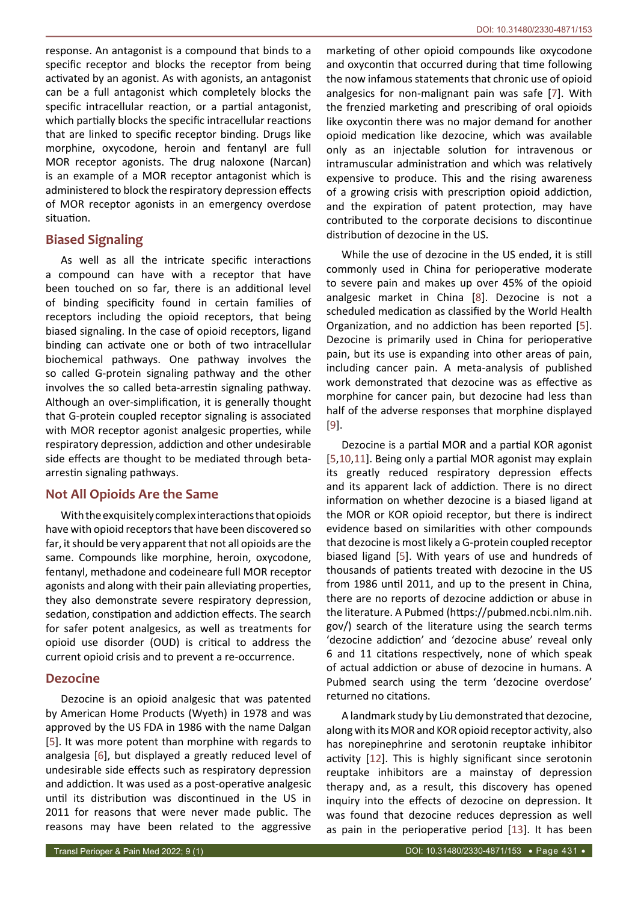response. An antagonist is a compound that binds to a specific receptor and blocks the receptor from being activated by an agonist. As with agonists, an antagonist can be a full antagonist which completely blocks the specific intracellular reaction, or a partial antagonist, which partially blocks the specific intracellular reactions that are linked to specific receptor binding. Drugs like morphine, oxycodone, heroin and fentanyl are full MOR receptor agonists. The drug naloxone (Narcan) is an example of a MOR receptor antagonist which is administered to block the respiratory depression effects of MOR receptor agonists in an emergency overdose situation.

# **Biased Signaling**

As well as all the intricate specific interactions a compound can have with a receptor that have been touched on so far, there is an additional level of binding specificity found in certain families of receptors including the opioid receptors, that being biased signaling. In the case of opioid receptors, ligand binding can activate one or both of two intracellular biochemical pathways. One pathway involves the so called G-protein signaling pathway and the other involves the so called beta-arrestin signaling pathway. Although an over-simplification, it is generally thought that G-protein coupled receptor signaling is associated with MOR receptor agonist analgesic properties, while respiratory depression, addiction and other undesirable side effects are thought to be mediated through betaarrestin signaling pathways.

## **Not All Opioids Are the Same**

With the exquisitely complex interactions that opioids have with opioid receptors that have been discovered so far, it should be very apparent that not all opioids are the same. Compounds like morphine, heroin, oxycodone, fentanyl, methadone and codeineare full MOR receptor agonists and along with their pain alleviating properties, they also demonstrate severe respiratory depression, sedation, constipation and addiction effects. The search for safer potent analgesics, as well as treatments for opioid use disorder (OUD) is critical to address the current opioid crisis and to prevent a re-occurrence.

# **Dezocine**

Dezocine is an opioid analgesic that was patented by American Home Products (Wyeth) in 1978 and was approved by the US FDA in 1986 with the name Dalgan [[5](#page-2-6)]. It was more potent than morphine with regards to analgesia [\[6\]](#page-2-12), but displayed a greatly reduced level of undesirable side effects such as respiratory depression and addiction. It was used as a post-operative analgesic until its distribution was discontinued in the US in 2011 for reasons that were never made public. The reasons may have been related to the aggressive

marketing of other opioid compounds like oxycodone and oxycontin that occurred during that time following the now infamous statements that chronic use of opioid analgesics for non-malignant pain was safe [[7](#page-2-4)]. With the frenzied marketing and prescribing of oral opioids like oxycontin there was no major demand for another opioid medication like dezocine, which was available only as an injectable solution for intravenous or intramuscular administration and which was relatively expensive to produce. This and the rising awareness of a growing crisis with prescription opioid addiction, and the expiration of patent protection, may have contributed to the corporate decisions to discontinue distribution of dezocine in the US.

While the use of dezocine in the US ended, it is still commonly used in China for perioperative moderate to severe pain and makes up over 45% of the opioid analgesic market in China [[8](#page-2-5)]. Dezocine is not a scheduled medication as classified by the World Health Organization, and no addiction has been reported [[5](#page-2-6)]. Dezocine is primarily used in China for perioperative pain, but its use is expanding into other areas of pain, including cancer pain. A meta-analysis of published work demonstrated that dezocine was as effective as morphine for cancer pain, but dezocine had less than half of the adverse responses that morphine displayed [\[9](#page-2-7)].

Dezocine is a partial MOR and a partial KOR agonist [\[5](#page-2-6)[,10,](#page-2-8)[11](#page-2-9)]. Being only a partial MOR agonist may explain its greatly reduced respiratory depression effects and its apparent lack of addiction. There is no direct information on whether dezocine is a biased ligand at the MOR or KOR opioid receptor, but there is indirect evidence based on similarities with other compounds that dezocine is most likely a G-protein coupled receptor biased ligand [[5](#page-2-6)]. With years of use and hundreds of thousands of patients treated with dezocine in the US from 1986 until 2011, and up to the present in China, there are no reports of dezocine addiction or abuse in the literature. A Pubmed [\(https://pubmed.ncbi.nlm.nih.](https://pubmed.ncbi.nlm.nih.gov/) [gov/](https://pubmed.ncbi.nlm.nih.gov/)) search of the literature using the search terms 'dezocine addiction' and 'dezocine abuse' reveal only 6 and 11 citations respectively, none of which speak of actual addiction or abuse of dezocine in humans. A Pubmed search using the term 'dezocine overdose' returned no citations.

A landmark study by Liu demonstrated that dezocine, along with its MOR and KOR opioid receptor activity, also has norepinephrine and serotonin reuptake inhibitor activity [[12](#page-2-10)]. This is highly significant since serotonin reuptake inhibitors are a mainstay of depression therapy and, as a result, this discovery has opened inquiry into the effects of dezocine on depression. It was found that dezocine reduces depression as well as pain in the perioperative period [[13](#page-2-11)]. It has been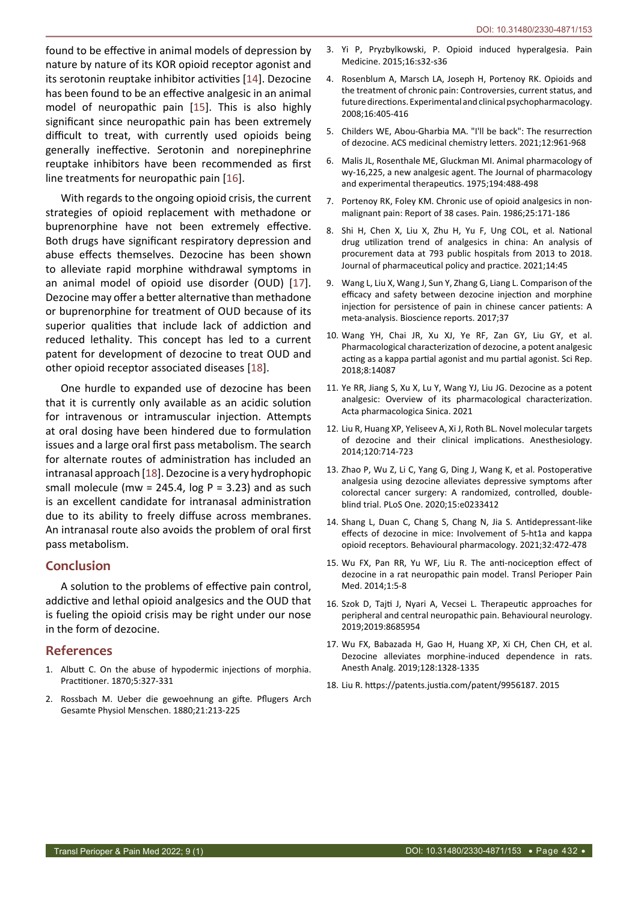found to be effective in animal models of depression by nature by nature of its KOR opioid receptor agonist and its serotonin reuptake inhibitor activities [[14](#page-2-13)]. Dezocine has been found to be an effective analgesic in an animal model of neuropathic pain [\[15](#page-2-14)]. This is also highly significant since neuropathic pain has been extremely difficult to treat, with currently used opioids being generally ineffective. Serotonin and norepinephrine reuptake inhibitors have been recommended as first line treatments for neuropathic pain [\[16](#page-2-15)].

With regards to the ongoing opioid crisis, the current strategies of opioid replacement with methadone or buprenorphine have not been extremely effective. Both drugs have significant respiratory depression and abuse effects themselves. Dezocine has been shown to alleviate rapid morphine withdrawal symptoms in an animal model of opioid use disorder (OUD) [\[17](#page-2-16)]. Dezocine may offer a better alternative than methadone or buprenorphine for treatment of OUD because of its superior qualities that include lack of addiction and reduced lethality. This concept has led to a current patent for development of dezocine to treat OUD and other opioid receptor associated diseases [\[18](#page-2-17)].

One hurdle to expanded use of dezocine has been that it is currently only available as an acidic solution for intravenous or intramuscular injection. Attempts at oral dosing have been hindered due to formulation issues and a large oral first pass metabolism. The search for alternate routes of administration has included an intranasal approach [[18](#page-2-17)]. Dezocine is a very hydrophopic small molecule (mw = 245.4, log  $P = 3.23$ ) and as such is an excellent candidate for intranasal administration due to its ability to freely diffuse across membranes. An intranasal route also avoids the problem of oral first pass metabolism.

### **Conclusion**

A solution to the problems of effective pain control, addictive and lethal opioid analgesics and the OUD that is fueling the opioid crisis may be right under our nose in the form of dezocine.

## **References**

- <span id="page-2-0"></span>1. Albutt C. On the abuse of hypodermic injections of morphia. Practitioner. 1870;5:327-331
- <span id="page-2-1"></span>2. Rossbach M. Ueber die gewoehnung an gifte. Pflugers Arch Gesamte Physiol Menschen. 1880;21:213-225
- <span id="page-2-2"></span>3. Yi P, Pryzbylkowski, P. Opioid induced hyperalgesia. Pain Medicine. 2015;16:s32-s36
- <span id="page-2-3"></span>4. Rosenblum A, Marsch LA, Joseph H, Portenoy RK. Opioids and the treatment of chronic pain: Controversies, current status, and future directions. Experimental and clinical psychopharmacology. 2008;16:405-416
- <span id="page-2-6"></span>5. Childers WE, Abou-Gharbia MA. "I'll be back": The resurrection of dezocine. ACS medicinal chemistry letters. 2021;12:961-968
- <span id="page-2-12"></span>6. Malis JL, Rosenthale ME, Gluckman MI. Animal pharmacology of wy-16,225, a new analgesic agent. The Journal of pharmacology and experimental therapeutics. 1975;194:488-498
- <span id="page-2-4"></span>7. Portenoy RK, Foley KM. Chronic use of opioid analgesics in nonmalignant pain: Report of 38 cases. Pain. 1986;25:171-186
- <span id="page-2-5"></span>8. Shi H, Chen X, Liu X, Zhu H, Yu F, Ung COL, et al. National drug utilization trend of analgesics in china: An analysis of procurement data at 793 public hospitals from 2013 to 2018. Journal of pharmaceutical policy and practice. 2021;14:45
- <span id="page-2-7"></span>9. Wang L, Liu X, Wang J, Sun Y, Zhang G, Liang L. Comparison of the efficacy and safety between dezocine injection and morphine injection for persistence of pain in chinese cancer patients: A meta-analysis. Bioscience reports. 2017;37
- <span id="page-2-8"></span>10. Wang YH, Chai JR, Xu XJ, Ye RF, Zan GY, Liu GY, et al. Pharmacological characterization of dezocine, a potent analgesic acting as a kappa partial agonist and mu partial agonist. Sci Rep. 2018;8:14087
- <span id="page-2-9"></span>11. Ye RR, Jiang S, Xu X, Lu Y, Wang YJ, Liu JG. Dezocine as a potent analgesic: Overview of its pharmacological characterization. Acta pharmacologica Sinica. 2021
- <span id="page-2-10"></span>12. Liu R, Huang XP, Yeliseev A, Xi J, Roth BL. Novel molecular targets of dezocine and their clinical implications. Anesthesiology. 2014;120:714-723
- <span id="page-2-11"></span>13. Zhao P, Wu Z, Li C, Yang G, Ding J, Wang K, et al. Postoperative analgesia using dezocine alleviates depressive symptoms after colorectal cancer surgery: A randomized, controlled, doubleblind trial. PLoS One. 2020;15:e0233412
- <span id="page-2-13"></span>14. Shang L, Duan C, Chang S, Chang N, Jia S. Antidepressant-like effects of dezocine in mice: Involvement of 5-ht1a and kappa opioid receptors. Behavioural pharmacology. 2021;32:472-478
- <span id="page-2-14"></span>15. Wu FX, Pan RR, Yu WF, Liu R. The anti-nociception effect of dezocine in a rat neuropathic pain model. Transl Perioper Pain Med. 2014;1:5-8
- <span id="page-2-15"></span>16. Szok D, Tajti J, Nyari A, Vecsei L. Therapeutic approaches for peripheral and central neuropathic pain. Behavioural neurology. 2019;2019:8685954
- <span id="page-2-16"></span>17. Wu FX, Babazada H, Gao H, Huang XP, Xi CH, Chen CH, et al. Dezocine alleviates morphine-induced dependence in rats. Anesth Analg. 2019;128:1328-1335
- <span id="page-2-17"></span>18. Liu R. https://patents.justia.com/patent/9956187. 2015